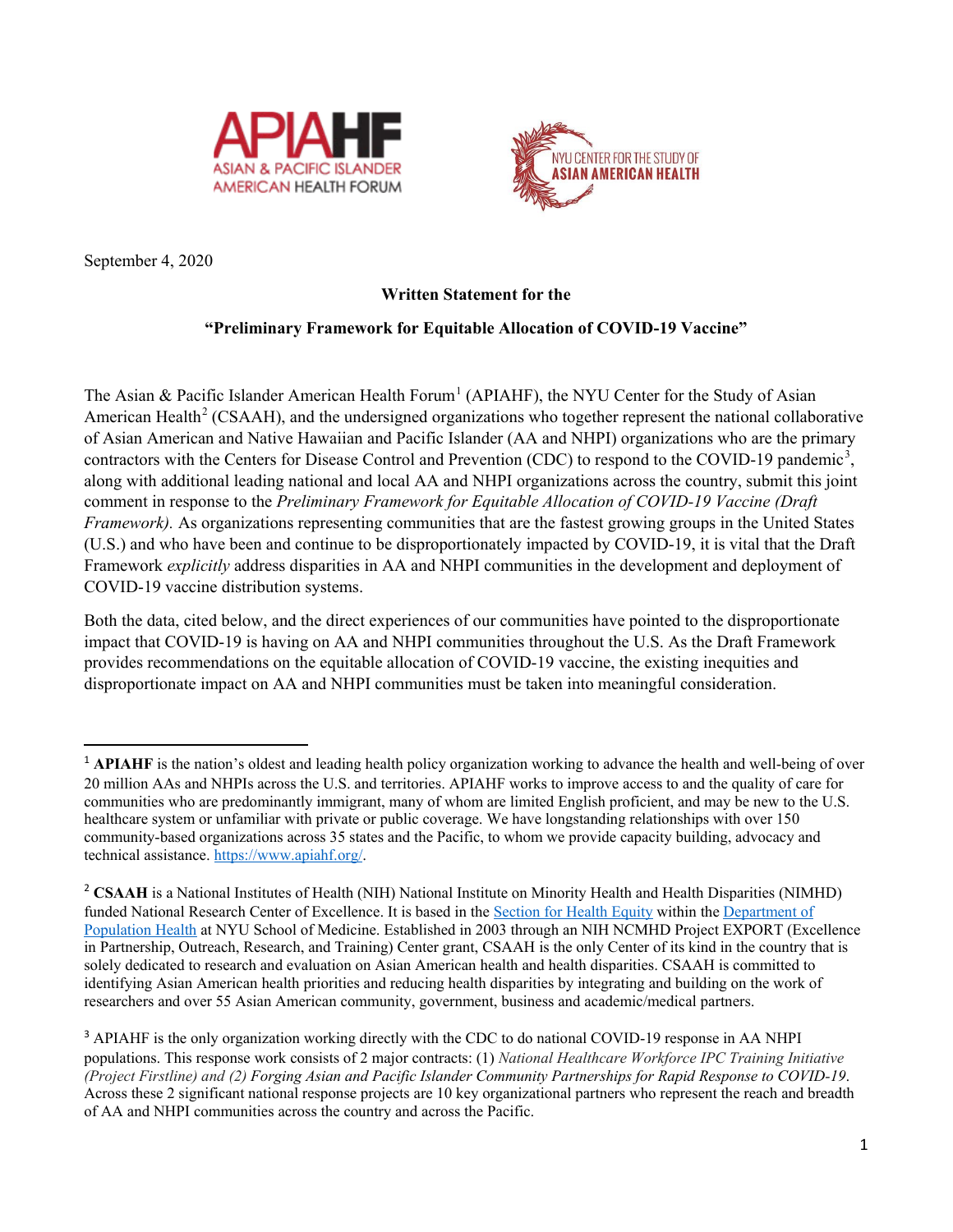



September 4, 2020

# **Written Statement for the**

# **"Preliminary Framework for Equitable Allocation of COVID-19 Vaccine"**

The Asian & Pacific Islander American Health Forum<sup>[1](#page-0-0)</sup> (APIAHF), the NYU Center for the Study of Asian American Health<sup>[2](#page-0-1)</sup> (CSAAH), and the undersigned organizations who together represent the national collaborative of Asian American and Native Hawaiian and Pacific Islander (AA and NHPI) organizations who are the primary contractors with the Centers for Disease Control and Prevention (CDC) to respond to the COVID-19 pandemic<sup>[3](#page-0-2)</sup>, along with additional leading national and local AA and NHPI organizations across the country, submit this joint comment in response to the *Preliminary Framework for Equitable Allocation of COVID-19 Vaccine (Draft Framework*). As organizations representing communities that are the fastest growing groups in the United States (U.S.) and who have been and continue to be disproportionately impacted by COVID-19, it is vital that the Draft Framework *explicitly* address disparities in AA and NHPI communities in the development and deployment of COVID-19 vaccine distribution systems.

Both the data, cited below, and the direct experiences of our communities have pointed to the disproportionate impact that COVID-19 is having on AA and NHPI communities throughout the U.S. As the Draft Framework provides recommendations on the equitable allocation of COVID-19 vaccine, the existing inequities and disproportionate impact on AA and NHPI communities must be taken into meaningful consideration.

<span id="page-0-0"></span><sup>&</sup>lt;sup>1</sup> APIAHF is the nation's oldest and leading health policy organization working to advance the health and well-being of over 20 million AAs and NHPIs across the U.S. and territories. APIAHF works to improve access to and the quality of care for communities who are predominantly immigrant, many of whom are limited English proficient, and may be new to the U.S. healthcare system or unfamiliar with private or public coverage. We have longstanding relationships with over 150 community-based organizations across 35 states and the Pacific, to whom we provide capacity building, advocacy and technical assistance[. https://www.apiahf.org/.](https://www.apiahf.org/)

<span id="page-0-1"></span><sup>&</sup>lt;sup>2</sup> CSAAH is a National Institutes of Health (NIH) National Institute on Minority Health and Health Disparities (NIMHD) funded National Research Center of Excellence. It is based in the [Section for Health Equity](http://med.nyu.edu/pophealth/divisions/health-equity) within the [Department of](http://med.nyu.edu/pophealth/)  [Population Health](http://med.nyu.edu/pophealth/) at NYU School of Medicine. Established in 2003 through an NIH NCMHD Project EXPORT (Excellence in Partnership, Outreach, Research, and Training) Center grant, CSAAH is the only Center of its kind in the country that is solely dedicated to research and evaluation on Asian American health and health disparities. CSAAH is committed to identifying Asian American health priorities and reducing health disparities by integrating and building on the work of researchers and over 55 Asian American community, government, business and academic/medical partners.

<span id="page-0-2"></span><sup>&</sup>lt;sup>3</sup> APIAHF is the only organization working directly with the CDC to do national COVID-19 response in AA NHPI populations. This response work consists of 2 major contracts: (1) *National Healthcare Workforce IPC Training Initiative (Project Firstline) and (2) Forging Asian and Pacific Islander Community Partnerships for Rapid Response to COVID-19*. Across these 2 significant national response projects are 10 key organizational partners who represent the reach and breadth of AA and NHPI communities across the country and across the Pacific.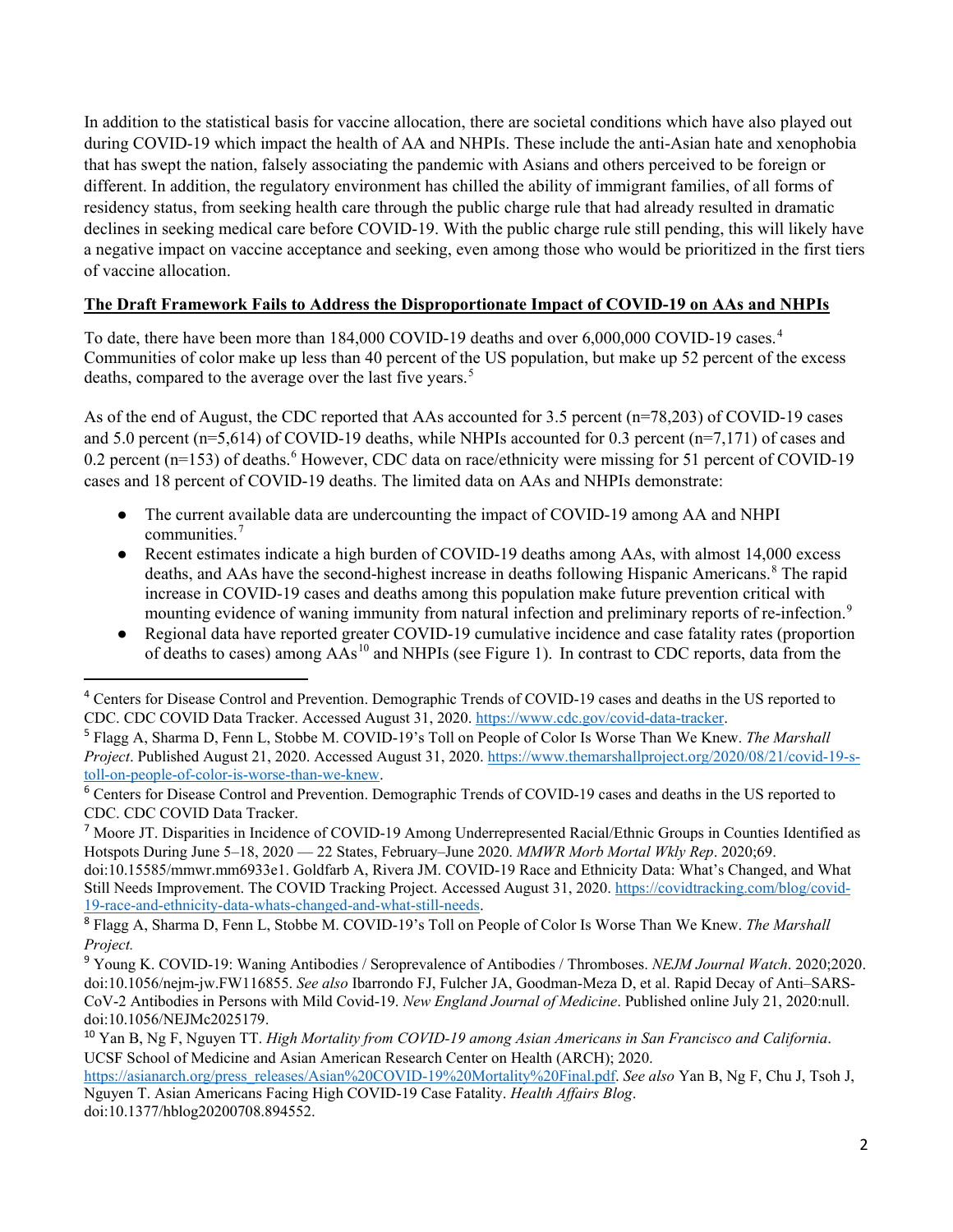In addition to the statistical basis for vaccine allocation, there are societal conditions which have also played out during COVID-19 which impact the health of AA and NHPIs. These include the anti-Asian hate and xenophobia that has swept the nation, falsely associating the pandemic with Asians and others perceived to be foreign or different. In addition, the regulatory environment has chilled the ability of immigrant families, of all forms of residency status, from seeking health care through the public charge rule that had already resulted in dramatic declines in seeking medical care before COVID-19. With the public charge rule still pending, this will likely have a negative impact on vaccine acceptance and seeking, even among those who would be prioritized in the first tiers of vaccine allocation.

# **The Draft Framework Fails to Address the Disproportionate Impact of COVID-19 on AAs and NHPIs**

To date, there have been more than 18[4](#page-1-0),000 COVID-19 deaths and over 6,000,000 COVID-19 cases.<sup>4</sup> Communities of color make up less than 40 percent of the US population, but make up 52 percent of the excess deaths, compared to the average over the last five years.<sup>[5](#page-1-1)</sup>

As of the end of August, the CDC reported that AAs accounted for 3.5 percent (n=78,203) of COVID-19 cases and 5.0 percent (n=5,614) of COVID-19 deaths, while NHPIs accounted for 0.3 percent (n=7,171) of cases and 0.2 percent (n=153) of deaths.<sup>[6](#page-1-2)</sup> However, CDC data on race/ethnicity were missing for 51 percent of COVID-19 cases and 18 percent of COVID-19 deaths. The limited data on AAs and NHPIs demonstrate:

- The current available data are undercounting the impact of COVID-19 among AA and NHPI communities.[7](#page-1-3)
- Recent estimates indicate a high burden of COVID-19 deaths among AAs, with almost 14,000 excess deaths, and AAs have the second-highest increase in deaths following Hispanic Americans.<sup>[8](#page-1-4)</sup> The rapid increase in COVID-19 cases and deaths among this population make future prevention critical with mounting evidence of waning immunity from natural infection and preliminary reports of re-infection.<sup>[9](#page-1-5)</sup>
- Regional data have reported greater COVID-19 cumulative incidence and case fatality rates (proportion of deaths to cases) among  $\tilde{As}^{10}$  $\tilde{As}^{10}$  $\tilde{As}^{10}$  and NHPIs (see Figure 1). In contrast to CDC reports, data from the

doi:10.15585/mmwr.mm6933e1. Goldfarb A, Rivera JM. COVID-19 Race and Ethnicity Data: What's Changed, and What Still Needs Improvement. The COVID Tracking Project. Accessed August 31, 2020. [https://covidtracking.com/blog/covid-](https://covidtracking.com/blog/covid-19-race-and-ethnicity-data-whats-changed-and-what-still-needs)[19-race-and-ethnicity-data-whats-changed-and-what-still-needs.](https://covidtracking.com/blog/covid-19-race-and-ethnicity-data-whats-changed-and-what-still-needs) 

doi:10.1377/hblog20200708.894552.

<span id="page-1-0"></span> <sup>4</sup> Centers for Disease Control and Prevention. Demographic Trends of COVID-19 cases and deaths in the US reported to CDC. CDC COVID Data Tracker. Accessed August 31, 2020. [https://www.cdc.gov/covid-data-tracker.](https://www.cdc.gov/covid-data-tracker) 

<span id="page-1-1"></span><sup>5</sup> Flagg A, Sharma D, Fenn L, Stobbe M. COVID-19's Toll on People of Color Is Worse Than We Knew. *The Marshall Project*. Published August 21, 2020. Accessed August 31, 2020. [https://www.themarshallproject.org/2020/08/21/covid-19-s](https://www.themarshallproject.org/2020/08/21/covid-19-s-toll-on-people-of-color-is-worse-than-we-knew)[toll-on-people-of-color-is-worse-than-we-knew.](https://www.themarshallproject.org/2020/08/21/covid-19-s-toll-on-people-of-color-is-worse-than-we-knew)

<span id="page-1-2"></span><sup>6</sup> Centers for Disease Control and Prevention. Demographic Trends of COVID-19 cases and deaths in the US reported to CDC. CDC COVID Data Tracker.

<span id="page-1-3"></span><sup>7</sup> Moore JT. Disparities in Incidence of COVID-19 Among Underrepresented Racial/Ethnic Groups in Counties Identified as Hotspots During June 5–18, 2020 — 22 States, February–June 2020. *MMWR Morb Mortal Wkly Rep*. 2020;69.

<span id="page-1-4"></span><sup>8</sup> Flagg A, Sharma D, Fenn L, Stobbe M. COVID-19's Toll on People of Color Is Worse Than We Knew. *The Marshall Project.* 

<span id="page-1-5"></span><sup>9</sup> Young K. COVID-19: Waning Antibodies / Seroprevalence of Antibodies / Thromboses. *NEJM Journal Watch*. 2020;2020. doi:10.1056/nejm-jw.FW116855. *See also* Ibarrondo FJ, Fulcher JA, Goodman-Meza D, et al. Rapid Decay of Anti–SARS-CoV-2 Antibodies in Persons with Mild Covid-19. *New England Journal of Medicine*. Published online July 21, 2020:null. doi:10.1056/NEJMc2025179.

<span id="page-1-6"></span><sup>10</sup> Yan B, Ng F, Nguyen TT. *High Mortality from COVID-19 among Asian Americans in San Francisco and California*. UCSF School of Medicine and Asian American Research Center on Health (ARCH); 2020.

[https://asianarch.org/press\\_releases/Asian%20COVID-19%20Mortality%20Final.pdf.](https://asianarch.org/press_releases/Asian%20COVID-19%20Mortality%20Final.pdf) *See also* Yan B, Ng F, Chu J, Tsoh J, Nguyen T. Asian Americans Facing High COVID-19 Case Fatality. *Health Affairs Blog*.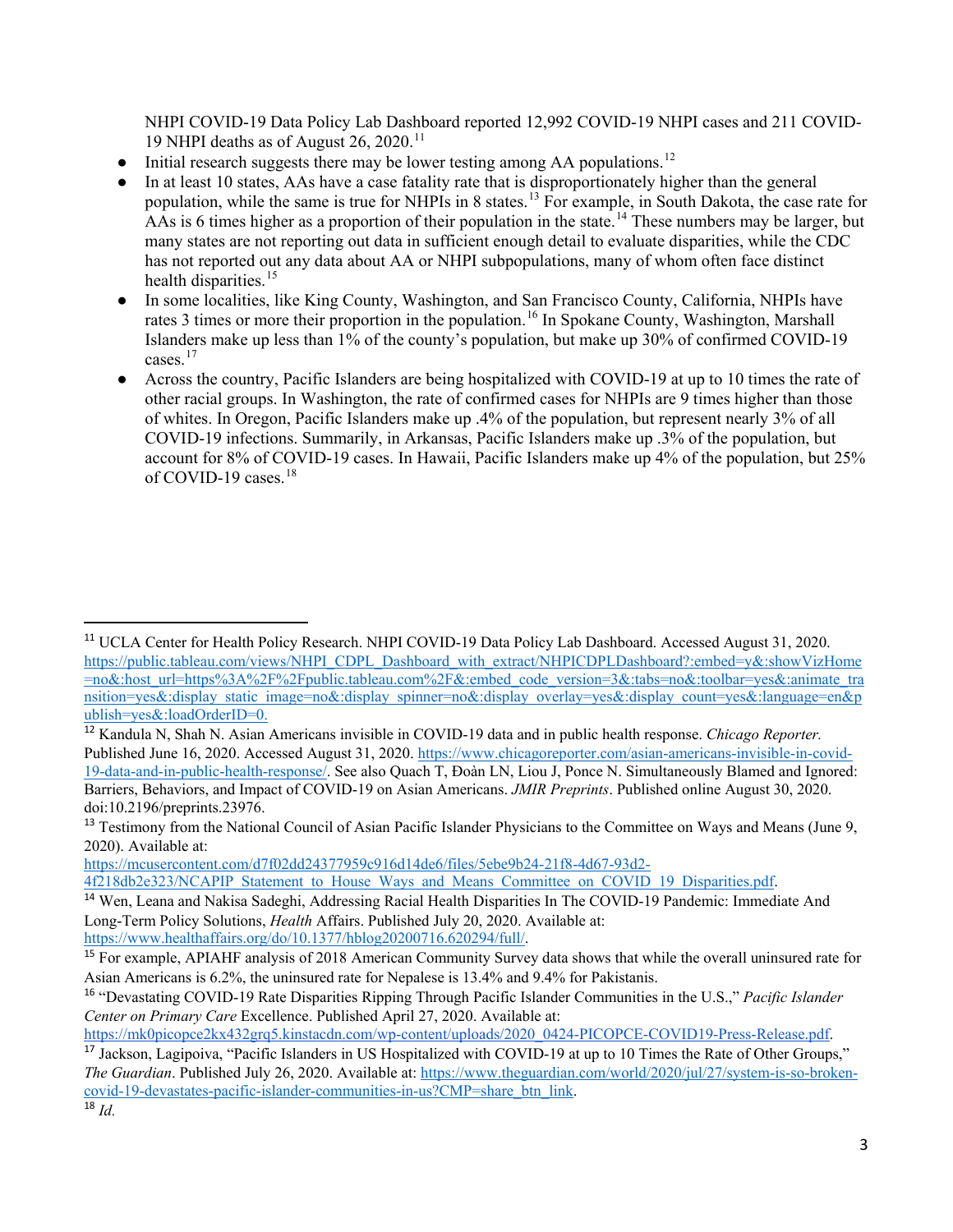NHPI COVID-19 Data Policy Lab Dashboard reported 12,992 COVID-19 NHPI cases and 211 COVID-19 NHPI deaths as of August 26, 2020.<sup>[11](#page-2-0)</sup>

- Initial research suggests there may be lower testing among AA populations.<sup>[12](#page-2-1)</sup>
- In at least 10 states, AAs have a case fatality rate that is disproportionately higher than the general population, while the same is true for NHPIs in 8 states.<sup>[13](#page-2-2)</sup> For example, in South Dakota, the case rate for AAs is 6 times higher as a proportion of their population in the state.<sup>[14](#page-2-3)</sup> These numbers may be larger, but many states are not reporting out data in sufficient enough detail to evaluate disparities, while the CDC has not reported out any data about AA or NHPI subpopulations, many of whom often face distinct health disparities.<sup>[15](#page-2-4)</sup>
- In some localities, like King County, Washington, and San Francisco County, California, NHPIs have rates 3 times or more their proportion in the population.<sup>[16](#page-2-5)</sup> In Spokane County, Washington, Marshall Islanders make up less than 1% of the county's population, but make up 30% of confirmed COVID-19 cases.[17](#page-2-6)
- Across the country, Pacific Islanders are being hospitalized with COVID-19 at up to 10 times the rate of other racial groups. In Washington, the rate of confirmed cases for NHPIs are 9 times higher than those of whites. In Oregon, Pacific Islanders make up .4% of the population, but represent nearly 3% of all COVID-19 infections. Summarily, in Arkansas, Pacific Islanders make up .3% of the population, but account for 8% of COVID-19 cases. In Hawaii, Pacific Islanders make up 4% of the population, but 25% of COVID-19 cases. $18$

[https://mcusercontent.com/d7f02dd24377959c916d14de6/files/5ebe9b24-21f8-4d67-93d2-](https://mcusercontent.com/d7f02dd24377959c916d14de6/files/5ebe9b24-21f8-4d67-93d2-4f218db2e323/NCAPIP_Statement_to_House_Ways_and_Means_Committee_on_COVID_19_Disparities.pdf)

[4f218db2e323/NCAPIP\\_Statement\\_to\\_House\\_Ways\\_and\\_Means\\_Committee\\_on\\_COVID\\_19\\_Disparities.pdf.](https://mcusercontent.com/d7f02dd24377959c916d14de6/files/5ebe9b24-21f8-4d67-93d2-4f218db2e323/NCAPIP_Statement_to_House_Ways_and_Means_Committee_on_COVID_19_Disparities.pdf)

Asian Americans is 6.2%, the uninsured rate for Nepalese is 13.4% and 9.4% for Pakistanis.

[https://mk0picopce2kx432grq5.kinstacdn.com/wp-content/uploads/2020\\_0424-PICOPCE-COVID19-Press-Release.pdf.](https://mk0picopce2kx432grq5.kinstacdn.com/wp-content/uploads/2020_0424-PICOPCE-COVID19-Press-Release.pdf)

<span id="page-2-0"></span> <sup>11</sup> UCLA Center for Health Policy Research. NHPI COVID-19 Data Policy Lab Dashboard. Accessed August 31, 2020. [https://public.tableau.com/views/NHPI\\_CDPL\\_Dashboard\\_with\\_extract/NHPICDPLDashboard?:embed=y&:showVizHome](https://public.tableau.com/views/NHPI_CDPL_Dashboard_with_extract/NHPICDPLDashboard?:embed=y&:showVizHome=no&:host_url=https%3A%2F%2Fpublic.tableau.com%2F&:embed_code_version=3&:tabs=no&:toolbar=yes&:animate_transition=yes&:display_static_image=no&:display_spinner=no&:display_overlay=yes&:display_count=yes&:language=en&publish=yes&:loadOrderID=0) [=no&:host\\_url=https%3A%2F%2Fpublic.tableau.com%2F&:embed\\_code\\_version=3&:tabs=no&:toolbar=yes&:animate\\_tra](https://public.tableau.com/views/NHPI_CDPL_Dashboard_with_extract/NHPICDPLDashboard?:embed=y&:showVizHome=no&:host_url=https%3A%2F%2Fpublic.tableau.com%2F&:embed_code_version=3&:tabs=no&:toolbar=yes&:animate_transition=yes&:display_static_image=no&:display_spinner=no&:display_overlay=yes&:display_count=yes&:language=en&publish=yes&:loadOrderID=0) [nsition=yes&:display\\_static\\_image=no&:display\\_spinner=no&:display\\_overlay=yes&:display\\_count=yes&:language=en&p](https://public.tableau.com/views/NHPI_CDPL_Dashboard_with_extract/NHPICDPLDashboard?:embed=y&:showVizHome=no&:host_url=https%3A%2F%2Fpublic.tableau.com%2F&:embed_code_version=3&:tabs=no&:toolbar=yes&:animate_transition=yes&:display_static_image=no&:display_spinner=no&:display_overlay=yes&:display_count=yes&:language=en&publish=yes&:loadOrderID=0) [ublish=yes&:loadOrderID=0.](https://public.tableau.com/views/NHPI_CDPL_Dashboard_with_extract/NHPICDPLDashboard?:embed=y&:showVizHome=no&:host_url=https%3A%2F%2Fpublic.tableau.com%2F&:embed_code_version=3&:tabs=no&:toolbar=yes&:animate_transition=yes&:display_static_image=no&:display_spinner=no&:display_overlay=yes&:display_count=yes&:language=en&publish=yes&:loadOrderID=0)

<span id="page-2-1"></span><sup>12</sup> Kandula N, Shah N. Asian Americans invisible in COVID-19 data and in public health response. *Chicago Reporter.*  Published June 16, 2020. Accessed August 31, 2020[. https://www.chicagoreporter.com/asian-americans-invisible-in-covid-](https://www.chicagoreporter.com/asian-americans-invisible-in-covid-19-data-and-in-public-health-response/)[19-data-and-in-public-health-response/.](https://www.chicagoreporter.com/asian-americans-invisible-in-covid-19-data-and-in-public-health-response/) See also Quach T, Ðoàn LN, Liou J, Ponce N. Simultaneously Blamed and Ignored: Barriers, Behaviors, and Impact of COVID-19 on Asian Americans. *JMIR Preprints*. Published online August 30, 2020. doi:10.2196/preprints.23976.

<span id="page-2-2"></span><sup>&</sup>lt;sup>13</sup> Testimony from the National Council of Asian Pacific Islander Physicians to the Committee on Ways and Means (June 9, 2020). Available at:

<span id="page-2-3"></span><sup>14</sup> Wen, Leana and Nakisa Sadeghi, Addressing Racial Health Disparities In The COVID-19 Pandemic: Immediate And Long-Term Policy Solutions, *Health* Affairs. Published July 20, 2020. Available at: [https://www.healthaffairs.org/do/10.1377/hblog20200716.620294/full/.](https://www.healthaffairs.org/do/10.1377/hblog20200716.620294/full/)

<span id="page-2-4"></span><sup>&</sup>lt;sup>15</sup> For example, APIAHF analysis of 2018 American Community Survey data shows that while the overall uninsured rate for

<span id="page-2-5"></span><sup>16</sup> "Devastating COVID-19 Rate Disparities Ripping Through Pacific Islander Communities in the U.S.," *Pacific Islander Center on Primary Care* Excellence. Published April 27, 2020. Available at:

<span id="page-2-7"></span><span id="page-2-6"></span><sup>&</sup>lt;sup>17</sup> Jackson, Lagipoiva, "Pacific Islanders in US Hospitalized with COVID-19 at up to 10 Times the Rate of Other Groups," *The Guardian*. Published July 26, 2020. Available at: [https://www.theguardian.com/world/2020/jul/27/system-is-so-broken](https://www.theguardian.com/world/2020/jul/27/system-is-so-broken-covid-19-devastates-pacific-islander-communities-in-us?CMP=share_btn_link)[covid-19-devastates-pacific-islander-communities-in-us?CMP=share\\_btn\\_link.](https://www.theguardian.com/world/2020/jul/27/system-is-so-broken-covid-19-devastates-pacific-islander-communities-in-us?CMP=share_btn_link)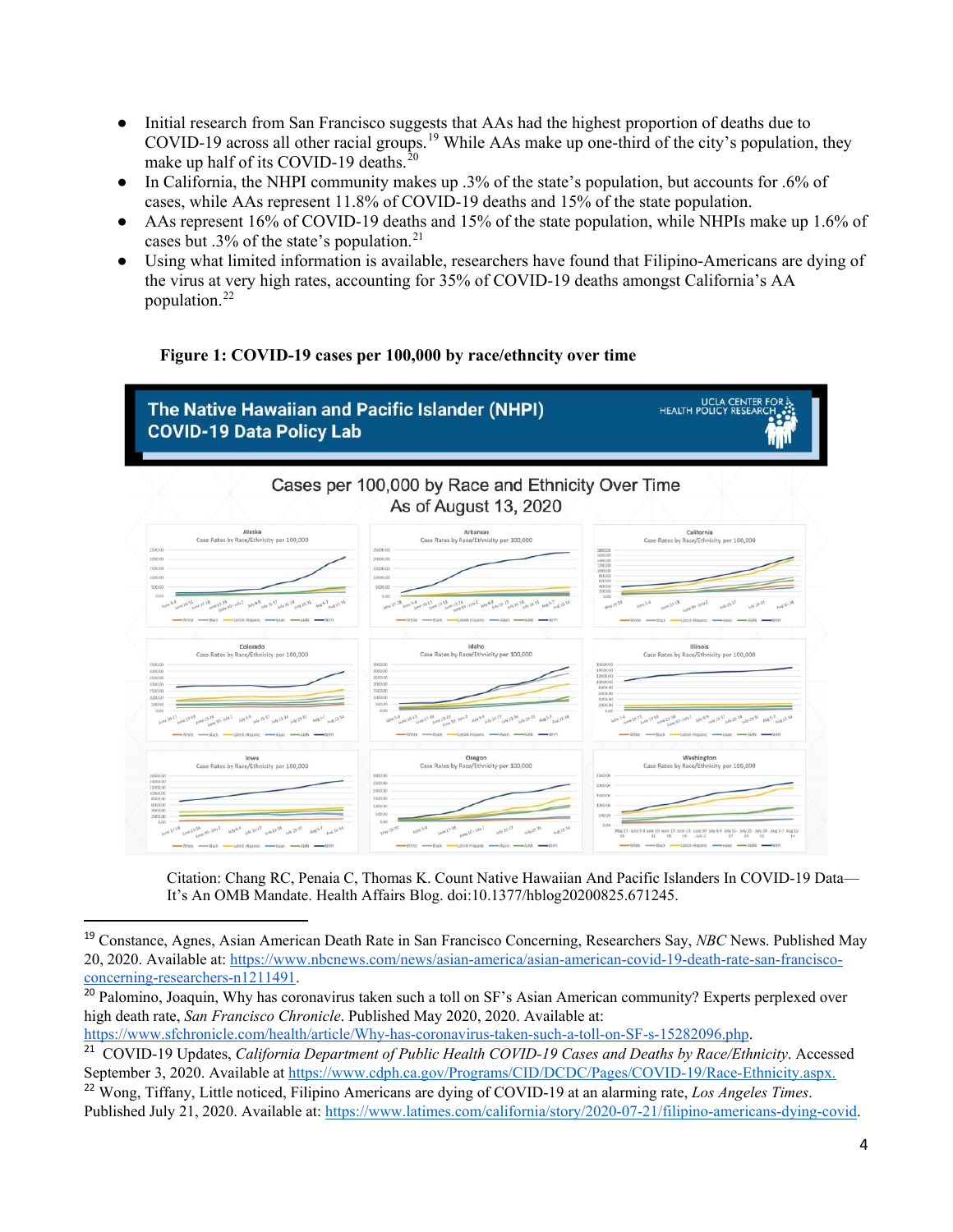- Initial research from San Francisco suggests that AAs had the highest proportion of deaths due to COVID-[19](#page-3-0) across all other racial groups.<sup>19</sup> While AAs make up one-third of the city's population, they make up half of its COVID-19 deaths.<sup>[20](#page-3-1)</sup>
- In California, the NHPI community makes up .3% of the state's population, but accounts for .6% of cases, while AAs represent 11.8% of COVID-19 deaths and 15% of the state population.
- AAs represent 16% of COVID-19 deaths and 15% of the state population, while NHPIs make up 1.6% of cases but .3% of the state's population.<sup>[21](#page-3-2)</sup>
- Using what limited information is available, researchers have found that Filipino-Americans are dying of the virus at very high rates, accounting for 35% of COVID-19 deaths amongst California's AA population.[22](#page-3-3)

# **Figure 1: COVID-19 cases per 100,000 by race/ethncity over time**



Citation: Chang RC, Penaia C, Thomas K. Count Native Hawaiian And Pacific Islanders In COVID-19 Data— It's An OMB Mandate. Health Affairs Blog. doi:10.1377/hblog20200825.671245.

[https://www.sfchronicle.com/health/article/Why-has-coronavirus-taken-such-a-toll-on-SF-s-15282096.php.](https://www.sfchronicle.com/health/article/Why-has-coronavirus-taken-such-a-toll-on-SF-s-15282096.php)

<span id="page-3-3"></span><sup>22</sup> Wong, Tiffany, Little noticed, Filipino Americans are dying of COVID-19 at an alarming rate, *Los Angeles Times*. Published July 21, 2020. Available at: [https://www.latimes.com/california/story/2020-07-21/filipino-americans-dying-covid.](https://www.latimes.com/california/story/2020-07-21/filipino-americans-dying-covid)

<span id="page-3-0"></span> <sup>19</sup> Constance, Agnes, Asian American Death Rate in San Francisco Concerning, Researchers Say, *NBC* News. Published May 20, 2020. Available at: [https://www.nbcnews.com/news/asian-america/asian-american-covid-19-death-rate-san-francisco](https://www.nbcnews.com/news/asian-america/asian-american-covid-19-death-rate-san-francisco-concerning-researchers-n1211491)[concerning-researchers-n1211491.](https://www.nbcnews.com/news/asian-america/asian-american-covid-19-death-rate-san-francisco-concerning-researchers-n1211491)

<span id="page-3-1"></span><sup>&</sup>lt;sup>20</sup> Palomino, Joaquin, Why has coronavirus taken such a toll on SF's Asian American community? Experts perplexed over high death rate, *San Francisco Chronicle*. Published May 2020, 2020. Available at:

<span id="page-3-2"></span><sup>&</sup>lt;sup>21</sup> COVID-19 Updates, *California Department of Public Health COVID-19 Cases and Deaths by Race/Ethnicity*. Accessed September 3, 2020. Available at [https://www.cdph.ca.gov/Programs/CID/DCDC/Pages/COVID-19/Race-Ethnicity.aspx.](https://www.cdph.ca.gov/Programs/CID/DCDC/Pages/COVID-19/Race-Ethnicity.aspx)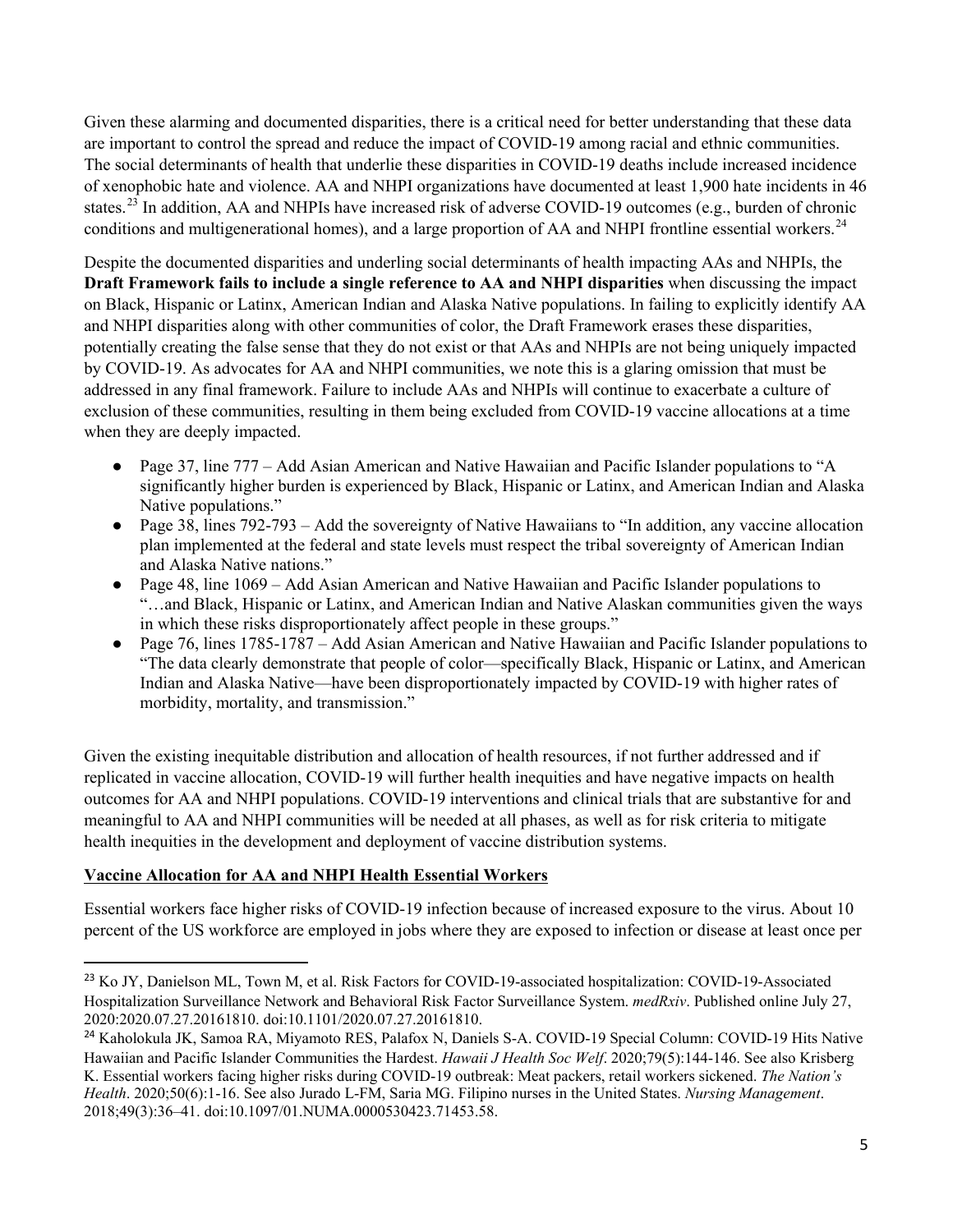Given these alarming and documented disparities, there is a critical need for better understanding that these data are important to control the spread and reduce the impact of COVID-19 among racial and ethnic communities. The social determinants of health that underlie these disparities in COVID-19 deaths include increased incidence of xenophobic hate and violence. AA and NHPI organizations have documented at least 1,900 hate incidents in 46 states.<sup>[23](#page-4-0)</sup> In addition, AA and NHPIs have increased risk of adverse COVID-19 outcomes (e.g., burden of chronic conditions and multigenerational homes), and a large proportion of AA and NHPI frontline essential workers.<sup>[24](#page-4-1)</sup>

Despite the documented disparities and underling social determinants of health impacting AAs and NHPIs, the **Draft Framework fails to include a single reference to AA and NHPI disparities** when discussing the impact on Black, Hispanic or Latinx, American Indian and Alaska Native populations. In failing to explicitly identify AA and NHPI disparities along with other communities of color, the Draft Framework erases these disparities, potentially creating the false sense that they do not exist or that AAs and NHPIs are not being uniquely impacted by COVID-19. As advocates for AA and NHPI communities, we note this is a glaring omission that must be addressed in any final framework. Failure to include AAs and NHPIs will continue to exacerbate a culture of exclusion of these communities, resulting in them being excluded from COVID-19 vaccine allocations at a time when they are deeply impacted.

- Page 37, line 777 Add Asian American and Native Hawaiian and Pacific Islander populations to "A significantly higher burden is experienced by Black, Hispanic or Latinx, and American Indian and Alaska Native populations."
- Page 38, lines 792-793 Add the sovereignty of Native Hawaiians to "In addition, any vaccine allocation plan implemented at the federal and state levels must respect the tribal sovereignty of American Indian and Alaska Native nations."
- Page 48, line 1069 Add Asian American and Native Hawaiian and Pacific Islander populations to "…and Black, Hispanic or Latinx, and American Indian and Native Alaskan communities given the ways in which these risks disproportionately affect people in these groups."
- Page 76, lines 1785-1787 Add Asian American and Native Hawaiian and Pacific Islander populations to "The data clearly demonstrate that people of color—specifically Black, Hispanic or Latinx, and American Indian and Alaska Native—have been disproportionately impacted by COVID-19 with higher rates of morbidity, mortality, and transmission."

Given the existing inequitable distribution and allocation of health resources, if not further addressed and if replicated in vaccine allocation, COVID-19 will further health inequities and have negative impacts on health outcomes for AA and NHPI populations. COVID-19 interventions and clinical trials that are substantive for and meaningful to AA and NHPI communities will be needed at all phases, as well as for risk criteria to mitigate health inequities in the development and deployment of vaccine distribution systems.

## **Vaccine Allocation for AA and NHPI Health Essential Workers**

Essential workers face higher risks of COVID-19 infection because of increased exposure to the virus. About 10 percent of the US workforce are employed in jobs where they are exposed to infection or disease at least once per

<span id="page-4-0"></span><sup>&</sup>lt;sup>23</sup> Ko JY, Danielson ML, Town M, et al. Risk Factors for COVID-19-associated hospitalization: COVID-19-Associated Hospitalization Surveillance Network and Behavioral Risk Factor Surveillance System. *medRxiv*. Published online July 27, 2020:2020.07.27.20161810. doi:10.1101/2020.07.27.20161810.

<span id="page-4-1"></span><sup>&</sup>lt;sup>24</sup> Kaholokula JK, Samoa RA, Miyamoto RES, Palafox N, Daniels S-A. COVID-19 Special Column: COVID-19 Hits Native Hawaiian and Pacific Islander Communities the Hardest. *Hawaii J Health Soc Welf*. 2020;79(5):144-146. See also Krisberg K. Essential workers facing higher risks during COVID-19 outbreak: Meat packers, retail workers sickened. *The Nation's Health*. 2020;50(6):1-16. See also Jurado L-FM, Saria MG. Filipino nurses in the United States. *Nursing Management*. 2018;49(3):36–41. doi:10.1097/01.NUMA.0000530423.71453.58.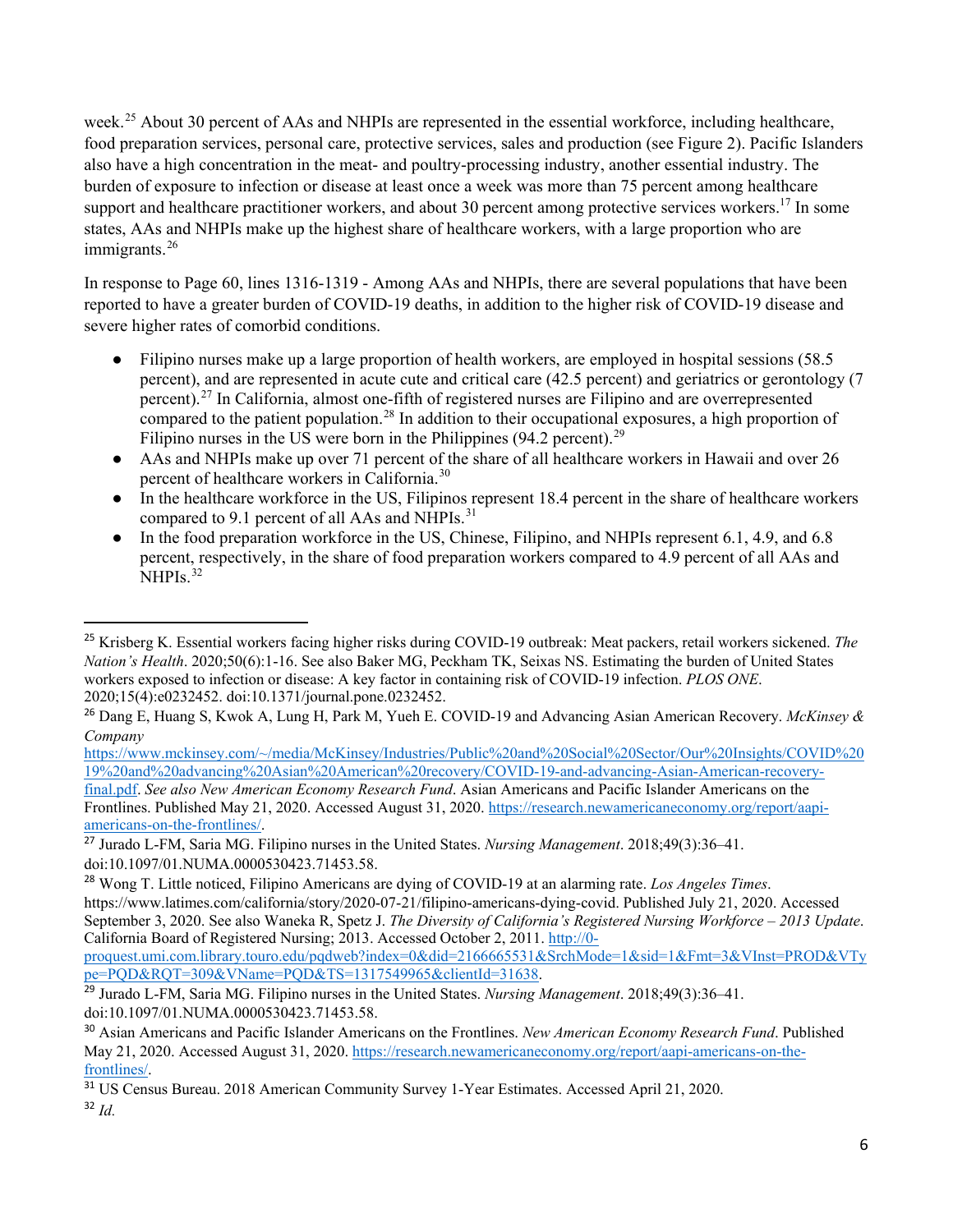week.<sup>[25](#page-5-0)</sup> About 30 percent of AAs and NHPIs are represented in the essential workforce, including healthcare, food preparation services, personal care, protective services, sales and production (see Figure 2). Pacific Islanders also have a high concentration in the meat- and poultry-processing industry, another essential industry. The burden of exposure to infection or disease at least once a week was more than 75 percent among healthcare support and healthcare practitioner workers, and about 30 percent among protective services workers.<sup>17</sup> In some states, AAs and NHPIs make up the highest share of healthcare workers, with a large proportion who are immigrants.<sup>[26](#page-5-1)</sup>

In response to Page 60, lines 1316-1319 - Among AAs and NHPIs, there are several populations that have been reported to have a greater burden of COVID-19 deaths, in addition to the higher risk of COVID-19 disease and severe higher rates of comorbid conditions.

- Filipino nurses make up a large proportion of health workers, are employed in hospital sessions (58.5) percent), and are represented in acute cute and critical care (42.5 percent) and geriatrics or gerontology (7 percent).[27](#page-5-2) In California, almost one-fifth of registered nurses are Filipino and are overrepresented compared to the patient population.<sup>[28](#page-5-3)</sup> In addition to their occupational exposures, a high proportion of Filipino nurses in the US were born in the Philippines  $(94.2 \text{ percent})$ .<sup>[29](#page-5-4)</sup>
- AAs and NHPIs make up over 71 percent of the share of all healthcare workers in Hawaii and over 26 percent of healthcare workers in California.[30](#page-5-5)
- In the healthcare workforce in the US, Filipinos represent 18.4 percent in the share of healthcare workers compared to 9.1 percent of all AAs and NHPIs.<sup>[31](#page-5-6)</sup>
- In the food preparation workforce in the US, Chinese, Filipino, and NHPIs represent 6.1, 4.9, and 6.8 percent, respectively, in the share of food preparation workers compared to 4.9 percent of all AAs and NHPIs.<sup>[32](#page-5-7)</sup>

[https://www.mckinsey.com/~/media/McKinsey/Industries/Public%20and%20Social%20Sector/Our%20Insights/COVID%20](https://www.mckinsey.com/%7E/media/McKinsey/Industries/Public%20and%20Social%20Sector/Our%20Insights/COVID%2019%20and%20advancing%20Asian%20American%20recovery/COVID-19-and-advancing-Asian-American-recovery-final.pdf) [19%20and%20advancing%20Asian%20American%20recovery/COVID-19-and-advancing-Asian-American-recovery-](https://www.mckinsey.com/%7E/media/McKinsey/Industries/Public%20and%20Social%20Sector/Our%20Insights/COVID%2019%20and%20advancing%20Asian%20American%20recovery/COVID-19-and-advancing-Asian-American-recovery-final.pdf)

[final.pdf.](https://www.mckinsey.com/%7E/media/McKinsey/Industries/Public%20and%20Social%20Sector/Our%20Insights/COVID%2019%20and%20advancing%20Asian%20American%20recovery/COVID-19-and-advancing-Asian-American-recovery-final.pdf) *See also New American Economy Research Fund*. Asian Americans and Pacific Islander Americans on the Frontlines. Published May 21, 2020. Accessed August 31, 2020. [https://research.newamericaneconomy.org/report/aapi](https://research.newamericaneconomy.org/report/aapi-americans-on-the-frontlines/)[americans-on-the-frontlines/.](https://research.newamericaneconomy.org/report/aapi-americans-on-the-frontlines/)

[pe=PQD&RQT=309&VName=PQD&TS=1317549965&clientId=31638.](http://0-proquest.umi.com.library.touro.edu/pqdweb?index=0&did=2166665531&SrchMode=1&sid=1&Fmt=3&VInst=PROD&VType=PQD&RQT=309&VName=PQD&TS=1317549965&clientId=31638)

<span id="page-5-0"></span> <sup>25</sup> Krisberg K. Essential workers facing higher risks during COVID-19 outbreak: Meat packers, retail workers sickened. *The Nation's Health*. 2020;50(6):1-16. See also Baker MG, Peckham TK, Seixas NS. Estimating the burden of United States workers exposed to infection or disease: A key factor in containing risk of COVID-19 infection. *PLOS ONE*. 2020;15(4):e0232452. doi:10.1371/journal.pone.0232452.

<span id="page-5-1"></span><sup>26</sup> Dang E, Huang S, Kwok A, Lung H, Park M, Yueh E. COVID-19 and Advancing Asian American Recovery. *McKinsey & Company* 

<span id="page-5-2"></span><sup>27</sup> Jurado L-FM, Saria MG. Filipino nurses in the United States. *Nursing Management*. 2018;49(3):36–41. doi:10.1097/01.NUMA.0000530423.71453.58.

<span id="page-5-3"></span><sup>28</sup> Wong T. Little noticed, Filipino Americans are dying of COVID-19 at an alarming rate. *Los Angeles Times*. https://www.latimes.com/california/story/2020-07-21/filipino-americans-dying-covid. Published July 21, 2020. Accessed September 3, 2020. See also Waneka R, Spetz J. *The Diversity of California's Registered Nursing Workforce – 2013 Update*. California Board of Registered Nursing; 2013. Accessed October 2, 2011[. http://0](http://0-proquest.umi.com.library.touro.edu/pqdweb?index=0&did=2166665531&SrchMode=1&sid=1&Fmt=3&VInst=PROD&VType=PQD&RQT=309&VName=PQD&TS=1317549965&clientId=31638) [proquest.umi.com.library.touro.edu/pqdweb?index=0&did=2166665531&SrchMode=1&sid=1&Fmt=3&VInst=PROD&VTy](http://0-proquest.umi.com.library.touro.edu/pqdweb?index=0&did=2166665531&SrchMode=1&sid=1&Fmt=3&VInst=PROD&VType=PQD&RQT=309&VName=PQD&TS=1317549965&clientId=31638)

<span id="page-5-4"></span><sup>29</sup> Jurado L-FM, Saria MG. Filipino nurses in the United States. *Nursing Management*. 2018;49(3):36–41. doi:10.1097/01.NUMA.0000530423.71453.58.

<span id="page-5-5"></span><sup>30</sup> Asian Americans and Pacific Islander Americans on the Frontlines. *New American Economy Research Fund*. Published May 21, 2020. Accessed August 31, 2020[. https://research.newamericaneconomy.org/report/aapi-americans-on-the](https://research.newamericaneconomy.org/report/aapi-americans-on-the-frontlines/)[frontlines/.](https://research.newamericaneconomy.org/report/aapi-americans-on-the-frontlines/)

<span id="page-5-7"></span><span id="page-5-6"></span><sup>31</sup> US Census Bureau. 2018 American Community Survey 1-Year Estimates. Accessed April 21, 2020. <sup>32</sup> *Id.*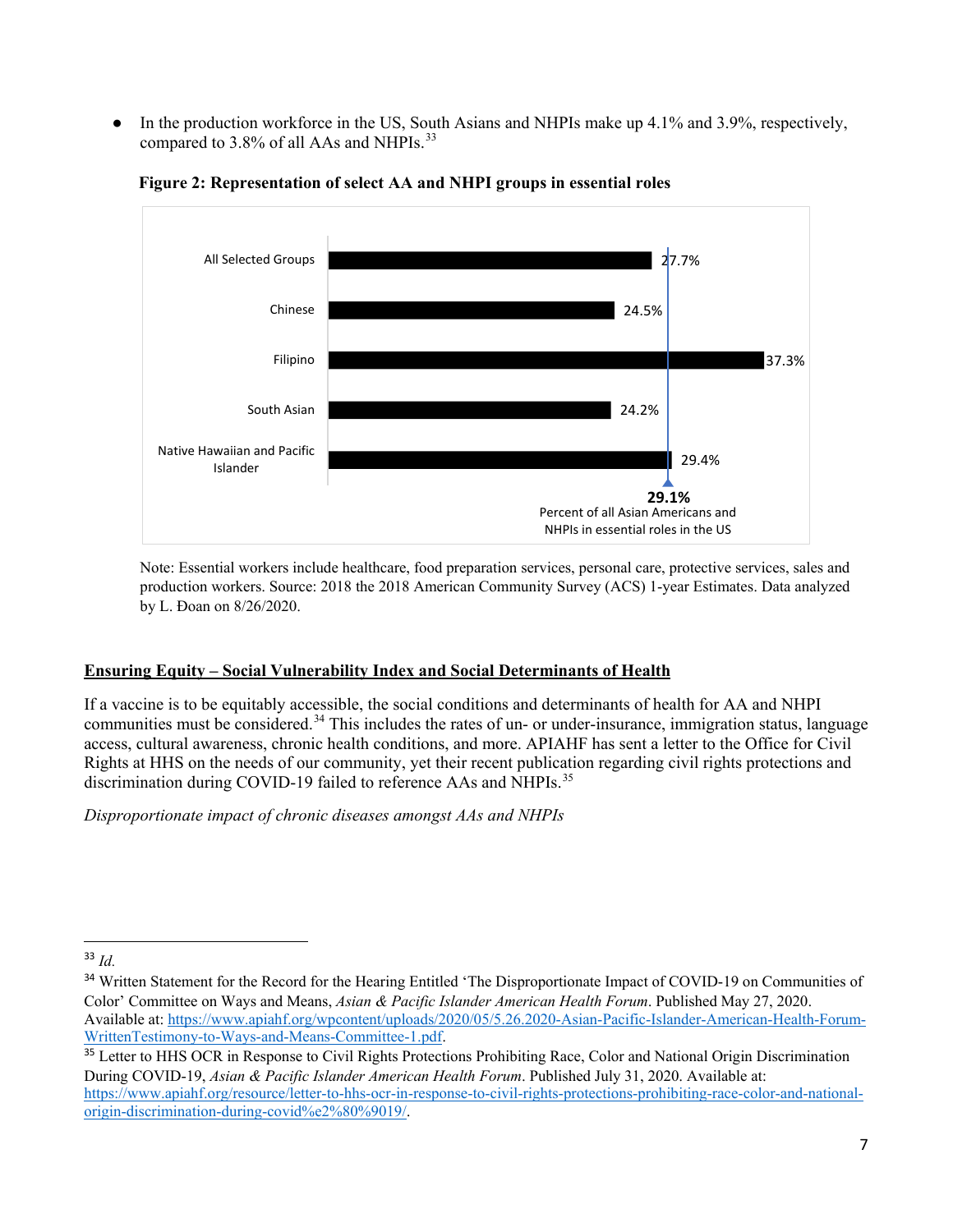In the production workforce in the US, South Asians and NHPIs make up 4.1% and 3.9%, respectively, compared to 3.8% of all AAs and NHPIs.<sup>[33](#page-6-0)</sup>



**Figure 2: Representation of select AA and NHPI groups in essential roles** 

Note: Essential workers include healthcare, food preparation services, personal care, protective services, sales and production workers. Source: 2018 the 2018 American Community Survey (ACS) 1-year Estimates. Data analyzed by L. Ðoan on 8/26/2020.

# **Ensuring Equity – Social Vulnerability Index and Social Determinants of Health**

If a vaccine is to be equitably accessible, the social conditions and determinants of health for AA and NHPI communities must be considered.<sup>[34](#page-6-1)</sup> This includes the rates of un- or under-insurance, immigration status, language access, cultural awareness, chronic health conditions, and more. APIAHF has sent a [letter](https://www.apiahf.org/resource/letter-to-hhs-ocr-in-response-to-civil-rights-protections-prohibiting-race-color-and-national-origin-discrimination-during-covid%E2%80%9019/) to the Office for Civil Rights at HHS on the needs of our community, yet their recent publication regarding civil rights protections and discrimination during COVID-19 failed to reference AAs and NHPIs.<sup>[35](#page-6-2)</sup>

*Disproportionate impact of chronic diseases amongst AAs and NHPIs* 

<span id="page-6-0"></span> <sup>33</sup> *Id.*

<span id="page-6-1"></span><sup>&</sup>lt;sup>34</sup> Written Statement for the Record for the Hearing Entitled 'The Disproportionate Impact of COVID-19 on Communities of Color' Committee on Ways and Means, *Asian & Pacific Islander American Health Forum*. Published May 27, 2020. Available at: [https://www.apiahf.org/wpcontent/uploads/2020/05/5.26.2020-Asian-Pacific-Islander-American-Health-Forum-](https://www.apiahf.org/wpcontent/uploads/2020/05/5.26.2020-Asian-Pacific-Islander-American-Health-Forum-WrittenTestimony-to-Ways-and-Means-Committee-1.pdf)[WrittenTestimony-to-Ways-and-Means-Committee-1.pdf.](https://www.apiahf.org/wpcontent/uploads/2020/05/5.26.2020-Asian-Pacific-Islander-American-Health-Forum-WrittenTestimony-to-Ways-and-Means-Committee-1.pdf)

<span id="page-6-2"></span><sup>&</sup>lt;sup>35</sup> Letter to HHS OCR in Response to Civil Rights Protections Prohibiting Race, Color and National Origin Discrimination During COVID-19, *Asian & Pacific Islander American Health Forum*. Published July 31, 2020. Available at: [https://www.apiahf.org/resource/letter-to-hhs-ocr-in-response-to-civil-rights-protections-prohibiting-race-color-and-national](https://www.apiahf.org/resource/letter-to-hhs-ocr-in-response-to-civil-rights-protections-prohibiting-race-color-and-national-origin-discrimination-during-covid%e2%80%9019/)[origin-discrimination-during-covid%e2%80%9019/.](https://www.apiahf.org/resource/letter-to-hhs-ocr-in-response-to-civil-rights-protections-prohibiting-race-color-and-national-origin-discrimination-during-covid%e2%80%9019/)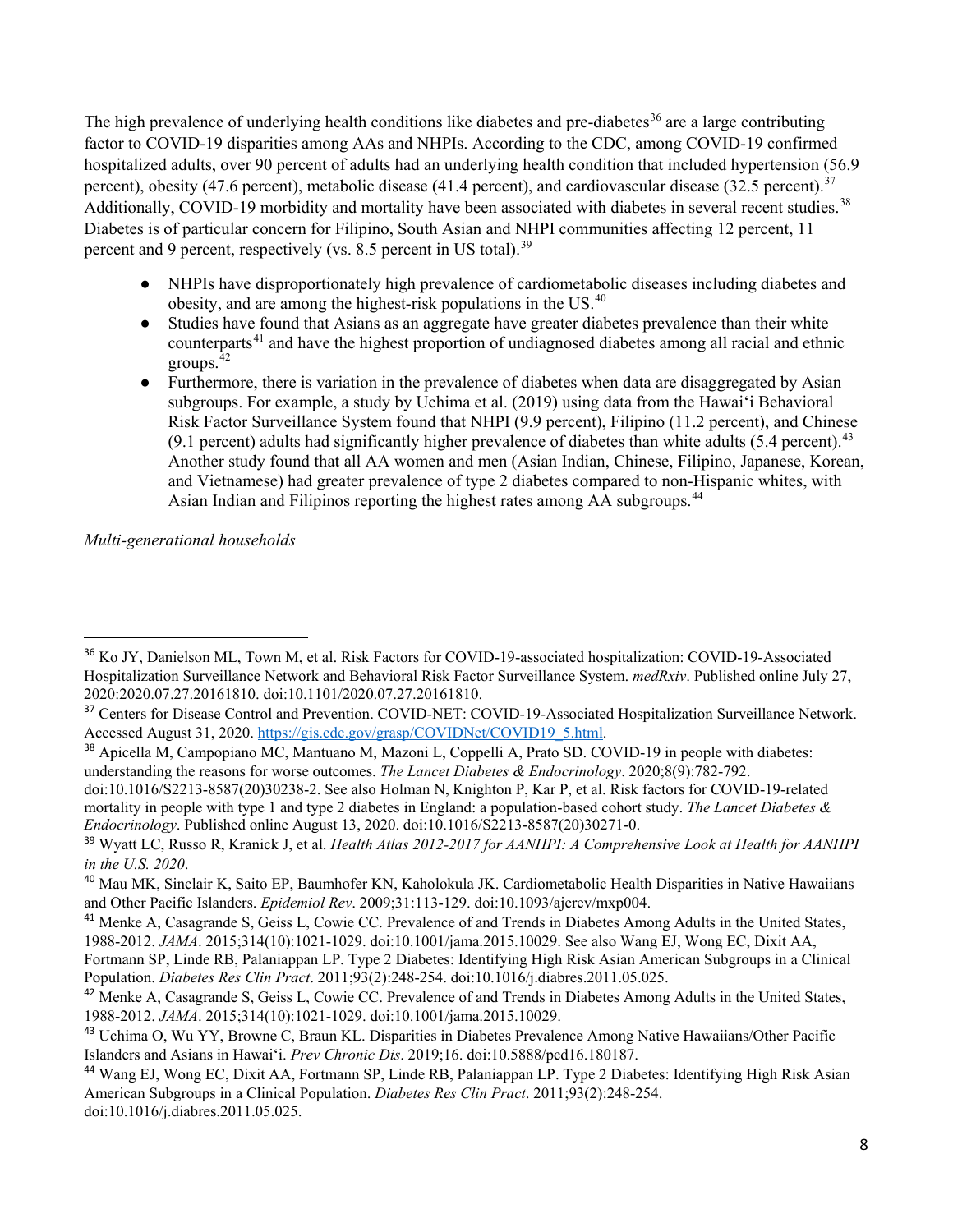The high prevalence of underlying health conditions like diabetes and pre-diabetes<sup>[36](#page-7-0)</sup> are a large contributing factor to COVID-19 disparities among AAs and NHPIs. According to the CDC, among COVID-19 confirmed hospitalized adults, over 90 percent of adults had an underlying health condition that included hypertension (56.9 percent), obesity (47.6 percent), metabolic disease (41.4 percent), and cardiovascular disease (32.5 percent).<sup>[37](#page-7-1)</sup> Additionally, COVID-19 morbidity and mortality have been associated with diabetes in several recent studies.<sup>38</sup> Diabetes is of particular concern for Filipino, South Asian and NHPI communities affecting 12 percent, 11 percent and 9 percent, respectively (vs. 8.5 percent in US total).<sup>[39](#page-7-3)</sup>

- NHPIs have disproportionately high prevalence of cardiometabolic diseases including diabetes and obesity, and are among the highest-risk populations in the US.[40](#page-7-4)
- Studies have found that Asians as an aggregate have greater diabetes prevalence than their white counterparts<sup>[41](#page-7-5)</sup> and have the highest proportion of undiagnosed diabetes among all racial and ethnic groups.[42](#page-7-6)
- Furthermore, there is variation in the prevalence of diabetes when data are disaggregated by Asian subgroups. For example, a study by Uchima et al. (2019) using data from the Hawai'i Behavioral Risk Factor Surveillance System found that NHPI (9.9 percent), Filipino (11.2 percent), and Chinese (9.1 percent) adults had significantly higher prevalence of diabetes than white adults (5.4 percent).<sup>43</sup> Another study found that all AA women and men (Asian Indian, Chinese, Filipino, Japanese, Korean, and Vietnamese) had greater prevalence of type 2 diabetes compared to non-Hispanic whites, with Asian Indian and Filipinos reporting the highest rates among AA subgroups.<sup>[44](#page-7-8)</sup>

*Multi-generational households* 

<span id="page-7-0"></span> <sup>36</sup> Ko JY, Danielson ML, Town M, et al. Risk Factors for COVID-19-associated hospitalization: COVID-19-Associated Hospitalization Surveillance Network and Behavioral Risk Factor Surveillance System. *medRxiv*. Published online July 27, 2020:2020.07.27.20161810. doi:10.1101/2020.07.27.20161810.

<span id="page-7-1"></span><sup>&</sup>lt;sup>37</sup> Centers for Disease Control and Prevention. COVID-NET: COVID-19-Associated Hospitalization Surveillance Network. Accessed August 31, 2020[. https://gis.cdc.gov/grasp/COVIDNet/COVID19\\_5.html.](https://gis.cdc.gov/grasp/COVIDNet/COVID19_5.html)

<span id="page-7-2"></span><sup>38</sup> Apicella M, Campopiano MC, Mantuano M, Mazoni L, Coppelli A, Prato SD. COVID-19 in people with diabetes: understanding the reasons for worse outcomes. *The Lancet Diabetes & Endocrinology*. 2020;8(9):782-792.

doi:10.1016/S2213-8587(20)30238-2. See also Holman N, Knighton P, Kar P, et al. Risk factors for COVID-19-related mortality in people with type 1 and type 2 diabetes in England: a population-based cohort study. *The Lancet Diabetes & Endocrinology*. Published online August 13, 2020. doi:10.1016/S2213-8587(20)30271-0.

<span id="page-7-3"></span><sup>39</sup> Wyatt LC, Russo R, Kranick J, et al. *Health Atlas 2012-2017 for AANHPI: A Comprehensive Look at Health for AANHPI in the U.S. 2020*.

<span id="page-7-4"></span><sup>&</sup>lt;sup>40</sup> Mau MK, Sinclair K, Saito EP, Baumhofer KN, Kaholokula JK. Cardiometabolic Health Disparities in Native Hawaiians and Other Pacific Islanders. *Epidemiol Rev*. 2009;31:113-129. doi:10.1093/ajerev/mxp004.

<span id="page-7-5"></span><sup>&</sup>lt;sup>41</sup> Menke A, Casagrande S, Geiss L, Cowie CC. Prevalence of and Trends in Diabetes Among Adults in the United States, 1988-2012. *JAMA*. 2015;314(10):1021-1029. doi:10.1001/jama.2015.10029. See also Wang EJ, Wong EC, Dixit AA,

Fortmann SP, Linde RB, Palaniappan LP. Type 2 Diabetes: Identifying High Risk Asian American Subgroups in a Clinical Population. *Diabetes Res Clin Pract*. 2011;93(2):248-254. doi:10.1016/j.diabres.2011.05.025.

<span id="page-7-6"></span><sup>&</sup>lt;sup>42</sup> Menke A, Casagrande S, Geiss L, Cowie CC. Prevalence of and Trends in Diabetes Among Adults in the United States, 1988-2012. *JAMA*. 2015;314(10):1021-1029. doi:10.1001/jama.2015.10029.

<span id="page-7-7"></span><sup>43</sup> Uchima O, Wu YY, Browne C, Braun KL. Disparities in Diabetes Prevalence Among Native Hawaiians/Other Pacific Islanders and Asians in Hawai'i. *Prev Chronic Dis*. 2019;16. doi:10.5888/pcd16.180187.

<span id="page-7-8"></span><sup>44</sup> Wang EJ, Wong EC, Dixit AA, Fortmann SP, Linde RB, Palaniappan LP. Type 2 Diabetes: Identifying High Risk Asian American Subgroups in a Clinical Population. *Diabetes Res Clin Pract*. 2011;93(2):248-254. doi:10.1016/j.diabres.2011.05.025.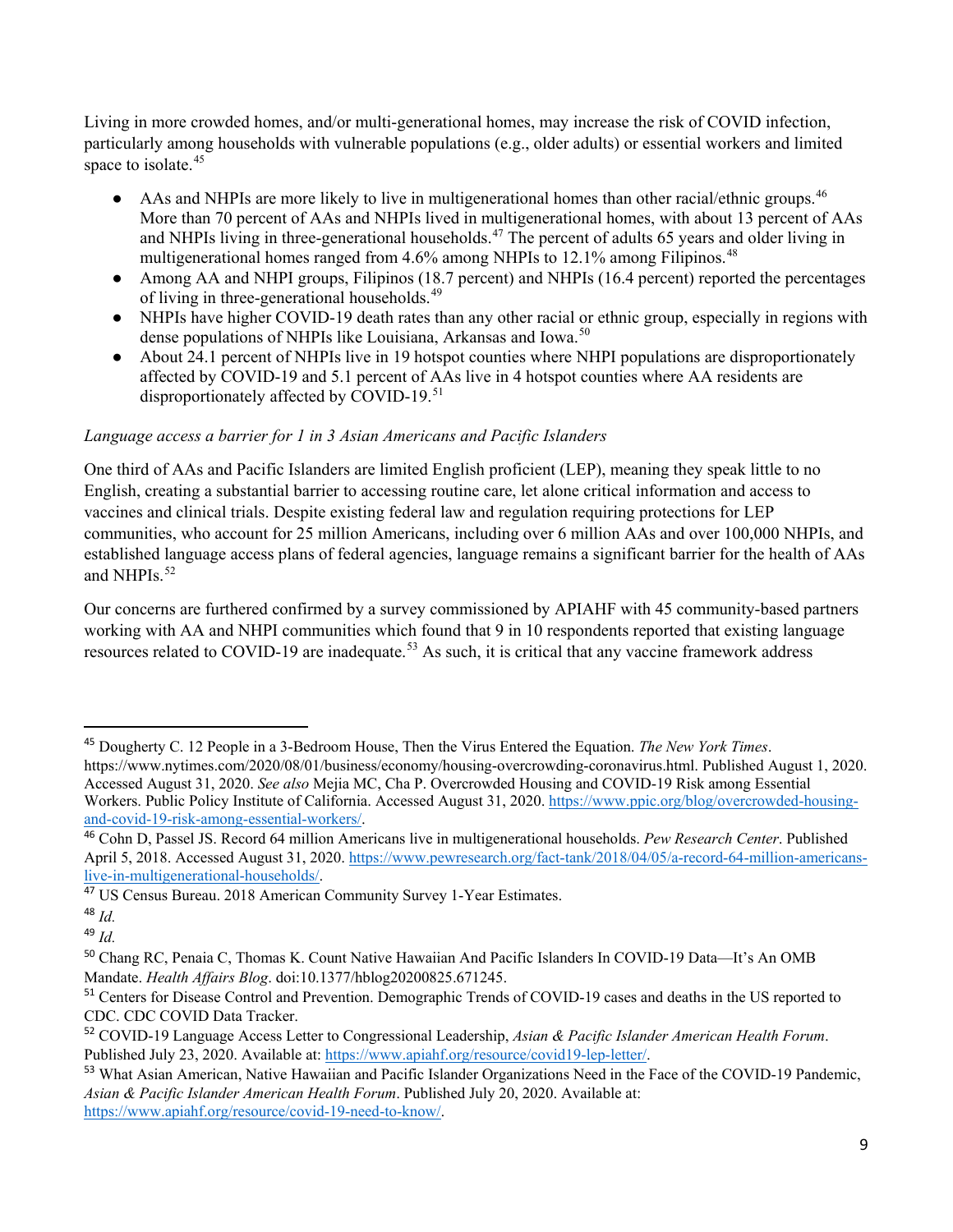Living in more crowded homes, and/or multi-generational homes, may increase the risk of COVID infection, particularly among households with vulnerable populations (e.g., older adults) or essential workers and limited space to isolate.<sup>[45](#page-8-0)</sup>

- AAs and NHPIs are more likely to live in multigenerational homes than other racial/ethnic groups.<sup>[46](#page-8-1)</sup> More than 70 percent of AAs and NHPIs lived in multigenerational homes, with about 13 percent of AAs and NHPIs living in three-generational households.<sup>[47](#page-8-2)</sup> The percent of adults 65 years and older living in multigenerational homes ranged from 4.6% among NHPIs to 12.1% among Filipinos.<sup>[48](#page-8-3)</sup>
- Among AA and NHPI groups, Filipinos (18.7 percent) and NHPIs (16.4 percent) reported the percentages of living in three-generational households.<sup>[49](#page-8-4)</sup>
- NHPIs have higher COVID-19 death rates than any other racial or ethnic group, especially in regions with dense populations of NHPIs like Louisiana, Arkansas and Iowa.<sup>[50](#page-8-5)</sup>
- About 24.1 percent of NHPIs live in 19 hotspot counties where NHPI populations are disproportionately affected by COVID-19 and 5.1 percent of AAs live in 4 hotspot counties where AA residents are disproportionately affected by COVID-19.<sup>[51](#page-8-6)</sup>

# *Language access a barrier for 1 in 3 Asian Americans and Pacific Islanders*

One third of AAs and Pacific Islanders are limited English proficient (LEP), meaning they speak little to no English, creating a substantial barrier to accessing routine care, let alone critical information and access to vaccines and clinical trials. Despite existing federal law and regulation requiring protections for LEP communities, who account for 25 million Americans, including over 6 million AAs and over 100,000 NHPIs, and established language access plans of federal agencies, language remains a significant barrier for the health of AAs and NHPIs.<sup>[52](#page-8-7)</sup>

Our concerns are furthered confirmed by a survey commissioned by APIAHF with 45 community-based partners working with AA and NHPI communities which found that 9 in 10 respondents reported that existing language resources related to COVID-19 are inadequate.<sup>[53](#page-8-8)</sup> As such, it is critical that any vaccine framework address

<span id="page-8-0"></span> <sup>45</sup> Dougherty C. 12 People in a 3-Bedroom House, Then the Virus Entered the Equation. *The New York Times*. https://www.nytimes.com/2020/08/01/business/economy/housing-overcrowding-coronavirus.html. Published August 1, 2020. Accessed August 31, 2020. *See also* Mejia MC, Cha P. Overcrowded Housing and COVID-19 Risk among Essential Workers. Public Policy Institute of California. Accessed August 31, 2020. [https://www.ppic.org/blog/overcrowded-housing](https://www.ppic.org/blog/overcrowded-housing-and-covid-19-risk-among-essential-workers/)[and-covid-19-risk-among-essential-workers/.](https://www.ppic.org/blog/overcrowded-housing-and-covid-19-risk-among-essential-workers/) 

<span id="page-8-1"></span><sup>46</sup> Cohn D, Passel JS. Record 64 million Americans live in multigenerational households. *Pew Research Center*. Published April 5, 2018. Accessed August 31, 2020. [https://www.pewresearch.org/fact-tank/2018/04/05/a-record-64-million-americans](https://www.pewresearch.org/fact-tank/2018/04/05/a-record-64-million-americans-live-in-multigenerational-households/)[live-in-multigenerational-households/.](https://www.pewresearch.org/fact-tank/2018/04/05/a-record-64-million-americans-live-in-multigenerational-households/)

<span id="page-8-2"></span><sup>47</sup> US Census Bureau. 2018 American Community Survey 1-Year Estimates.

<span id="page-8-3"></span><sup>48</sup> *Id.* 

<span id="page-8-4"></span><sup>49</sup> *Id.*

<span id="page-8-5"></span><sup>50</sup> Chang RC, Penaia C, Thomas K. Count Native Hawaiian And Pacific Islanders In COVID-19 Data—It's An OMB Mandate. *Health Affairs Blog*. doi:10.1377/hblog20200825.671245.

<span id="page-8-6"></span><sup>&</sup>lt;sup>51</sup> Centers for Disease Control and Prevention. Demographic Trends of COVID-19 cases and deaths in the US reported to CDC. CDC COVID Data Tracker.

<span id="page-8-7"></span><sup>52</sup> COVID-19 Language Access Letter to Congressional Leadership, *Asian & Pacific Islander American Health Forum*. Published July 23, 2020. Available at: [https://www.apiahf.org/resource/covid19-lep-letter/.](https://www.apiahf.org/resource/covid19-lep-letter/)

<span id="page-8-8"></span><sup>&</sup>lt;sup>53</sup> What Asian American, Native Hawaiian and Pacific Islander Organizations Need in the Face of the COVID-19 Pandemic, *Asian & Pacific Islander American Health Forum*. Published July 20, 2020. Available at: [https://www.apiahf.org/resource/covid-19-need-to-know/.](https://www.apiahf.org/resource/covid-19-need-to-know/)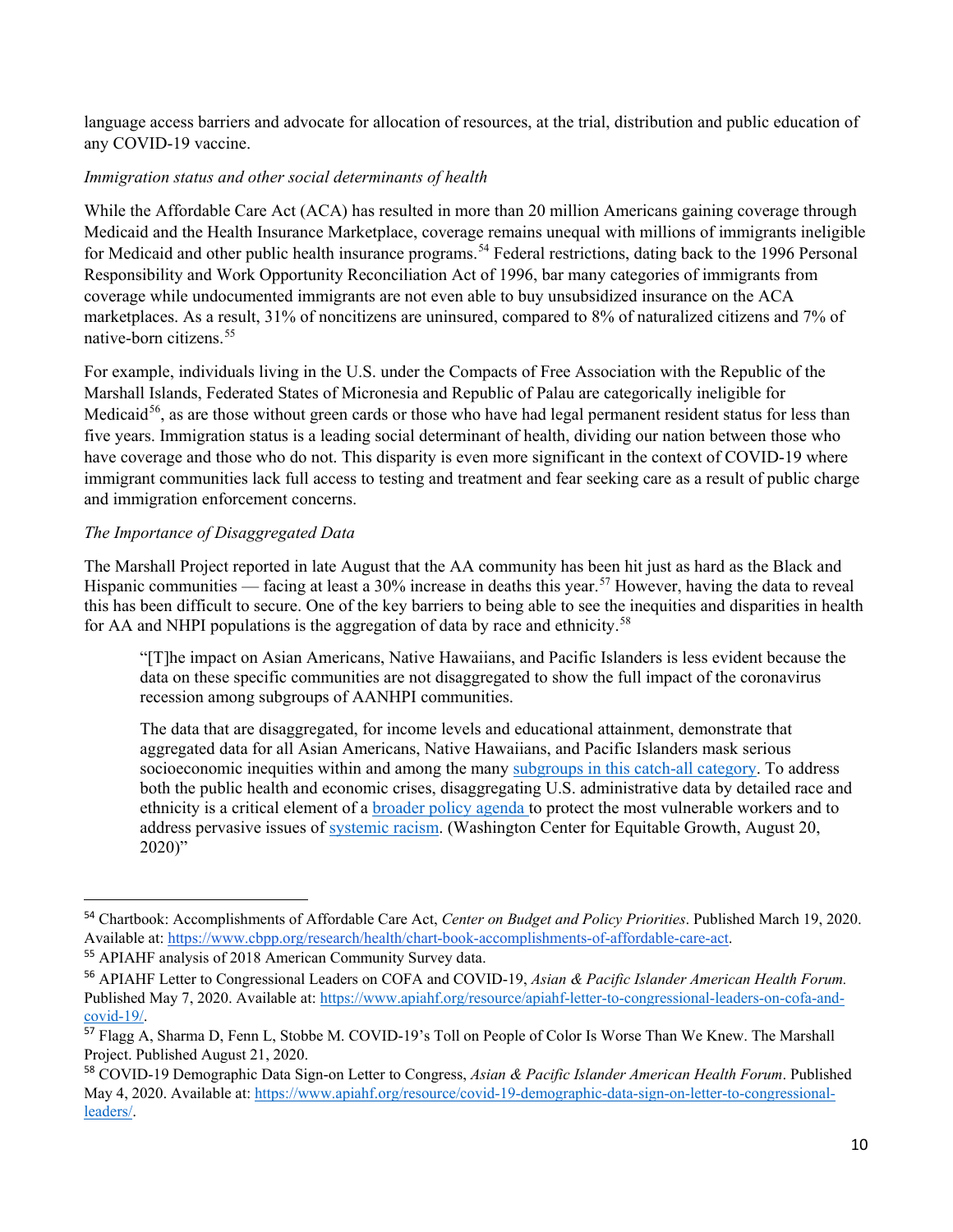language access barriers and advocate for allocation of resources, at the trial, distribution and public education of any COVID-19 vaccine.

## *Immigration status and other social determinants of health*

While the Affordable Care Act (ACA) has resulted in more than 20 million Americans gaining coverage through Medicaid and the Health Insurance Marketplace, coverage remains unequal with millions of immigrants ineligible for Medicaid and other public health insurance programs.<sup>[54](#page-9-0)</sup> Federal restrictions, dating back to the 1996 Personal Responsibility and Work Opportunity Reconciliation Act of 1996, bar many categories of immigrants from coverage while undocumented immigrants are not even able to buy unsubsidized insurance on the ACA marketplaces. As a result, 31% of noncitizens are uninsured, compared to 8% of naturalized citizens and 7% of native-born citizens.[55](#page-9-1)

For example, individuals living in the U.S. under the Compacts of Free Association with the Republic of the Marshall Islands, Federated States of Micronesia and Republic of Palau are categorically ineligible for Medicaid<sup>[56](#page-9-2)</sup>, as are those without green cards or those who have had legal permanent resident status for less than five years. Immigration status is a leading social determinant of health, dividing our nation between those who have coverage and those who do not. This disparity is even more significant in the context of COVID-19 where immigrant communities lack full access to testing and treatment and fear seeking care as a result of public charge and immigration enforcement concerns.

# *The Importance of Disaggregated Data*

The Marshall Project reported in late August that the AA community has been hit just as hard as the Black and Hispanic communities — facing at least a  $30\%$  increase in deaths this year.<sup>[57](#page-9-3)</sup> However, having the data to reveal this has been difficult to secure. One of the key barriers to being able to see the inequities and disparities in health for AA and NHPI populations is the aggregation of data by race and ethnicity.<sup>[58](#page-9-4)</sup>

"[T]he impact on Asian Americans, Native Hawaiians, and Pacific Islanders is less evident because the data on these specific communities are not disaggregated to show the full impact of the coronavirus recession among subgroups of AANHPI communities.

The data that are disaggregated, for income levels and educational attainment, demonstrate that aggregated data for all Asian Americans, Native Hawaiians, and Pacific Islanders mask serious socioeconomic inequities within and among the many [subgroups in this catch-all category.](https://equitablegrowth.org/how-data-disaggregation-matters-for-asian-americans-and-pacific-islanders/) To address both the public health and economic crises, disaggregating U.S. administrative data by detailed race and ethnicity is a critical element of a [broader policy agenda](https://equitablegrowth.org/the-coronavirus-recession-and-economic-inequality-a-roadmap-to-recovery-and-long-term-structural-change/) to protect the most vulnerable workers and to address pervasive issues of [systemic racism.](https://equitablegrowth.org/race-and-the-lack-of-intergenerational-economic-mobility-in-the-united-states/) (Washington Center for Equitable Growth, August 20, 2020)"

<span id="page-9-0"></span> <sup>54</sup> Chartbook: Accomplishments of Affordable Care Act, *Center on Budget and Policy Priorities*. Published March 19, 2020. Available at: [https://www.cbpp.org/research/health/chart-book-accomplishments-of-affordable-care-act.](https://www.cbpp.org/research/health/chart-book-accomplishments-of-affordable-care-act) 

<span id="page-9-1"></span><sup>55</sup> APIAHF analysis of 2018 American Community Survey data.

<span id="page-9-2"></span><sup>56</sup> APIAHF Letter to Congressional Leaders on COFA and COVID-19, *Asian & Pacific Islander American Health Forum.* Published May 7, 2020. Available at[: https://www.apiahf.org/resource/apiahf-letter-to-congressional-leaders-on-cofa-and](https://www.apiahf.org/resource/apiahf-letter-to-congressional-leaders-on-cofa-and-covid-19/)[covid-19/.](https://www.apiahf.org/resource/apiahf-letter-to-congressional-leaders-on-cofa-and-covid-19/) 

<span id="page-9-3"></span><sup>57</sup> Flagg A, Sharma D, Fenn L, Stobbe M. COVID-19's Toll on People of Color Is Worse Than We Knew. The Marshall Project. Published August 21, 2020.

<span id="page-9-4"></span><sup>58</sup> COVID-19 Demographic Data Sign-on Letter to Congress, *Asian & Pacific Islander American Health Forum*. Published May 4, 2020. Available at[: https://www.apiahf.org/resource/covid-19-demographic-data-sign-on-letter-to-congressional](https://www.apiahf.org/resource/covid-19-demographic-data-sign-on-letter-to-congressional-leaders/)[leaders/.](https://www.apiahf.org/resource/covid-19-demographic-data-sign-on-letter-to-congressional-leaders/)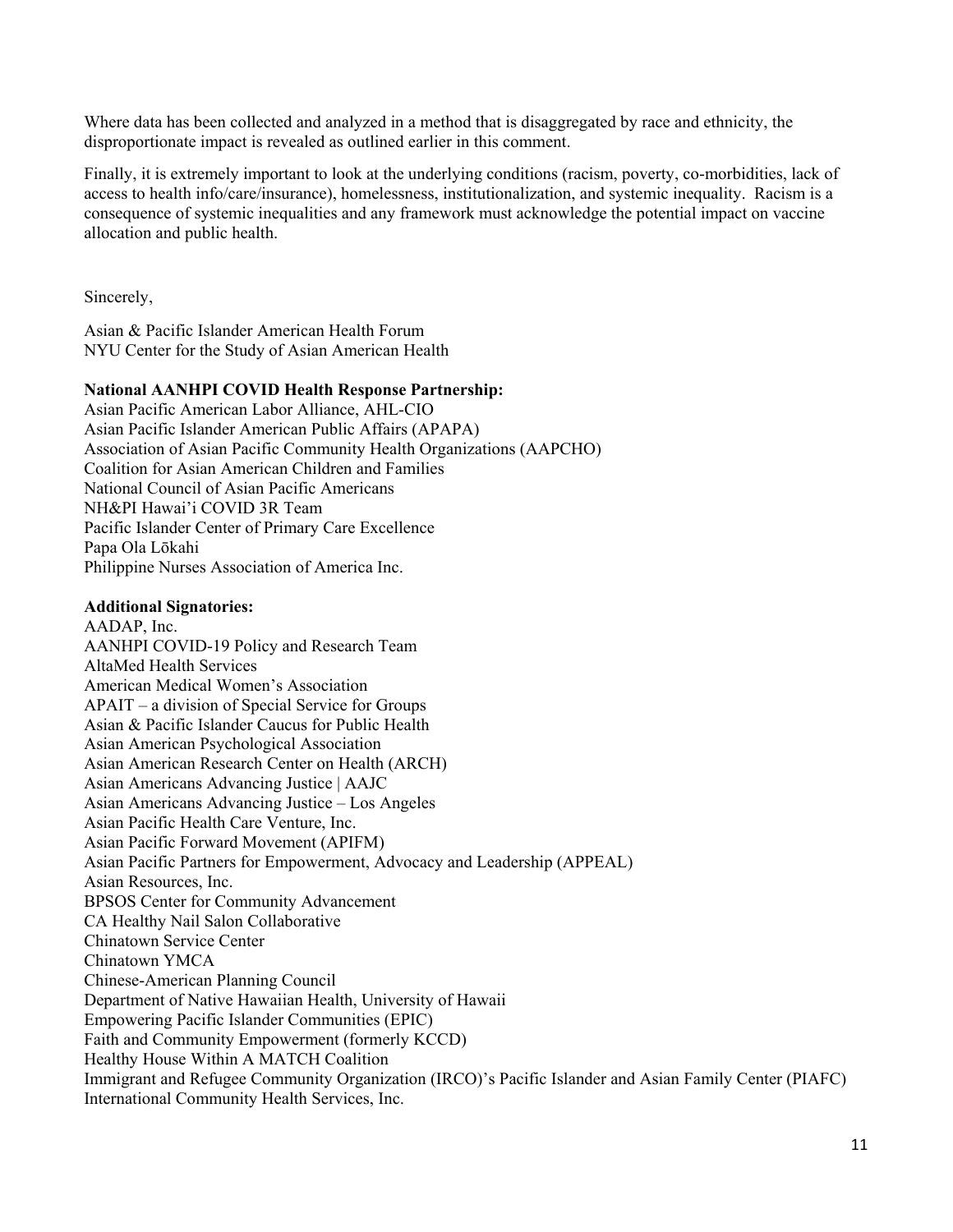Where data has been collected and analyzed in a method that is disaggregated by race and ethnicity, the disproportionate impact is revealed as outlined earlier in this comment.

Finally, it is extremely important to look at the underlying conditions (racism, poverty, co-morbidities, lack of access to health info/care/insurance), homelessness, institutionalization, and systemic inequality. Racism is a consequence of systemic inequalities and any framework must acknowledge the potential impact on vaccine allocation and public health.

Sincerely,

Asian & Pacific Islander American Health Forum NYU Center for the Study of Asian American Health

### **National AANHPI COVID Health Response Partnership:**

Asian Pacific American Labor Alliance, AHL-CIO Asian Pacific Islander American Public Affairs (APAPA) Association of Asian Pacific Community Health Organizations (AAPCHO) Coalition for Asian American Children and Families National Council of Asian Pacific Americans NH&PI Hawai'i COVID 3R Team Pacific Islander Center of Primary Care Excellence Papa Ola Lōkahi Philippine Nurses Association of America Inc.

#### **Additional Signatories:**

AADAP, Inc. AANHPI COVID-19 Policy and Research Team AltaMed Health Services American Medical Women's Association APAIT – a division of Special Service for Groups Asian & Pacific Islander Caucus for Public Health Asian American Psychological Association Asian American Research Center on Health (ARCH) Asian Americans Advancing Justice | AAJC Asian Americans Advancing Justice – Los Angeles Asian Pacific Health Care Venture, Inc. Asian Pacific Forward Movement (APIFM) Asian Pacific Partners for Empowerment, Advocacy and Leadership (APPEAL) Asian Resources, Inc. BPSOS Center for Community Advancement CA Healthy Nail Salon Collaborative Chinatown Service Center Chinatown YMCA Chinese-American Planning Council Department of Native Hawaiian Health, University of Hawaii Empowering Pacific Islander Communities (EPIC) Faith and Community Empowerment (formerly KCCD) Healthy House Within A MATCH Coalition Immigrant and Refugee Community Organization (IRCO)'s Pacific Islander and Asian Family Center (PIAFC) International Community Health Services, Inc.